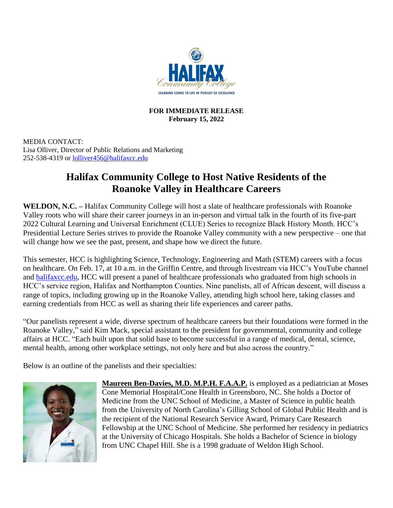

## **FOR IMMEDIATE RELEASE February 15, 2022**

MEDIA CONTACT: Lisa Olliver, Director of Public Relations and Marketing 252-538-4319 or [lolliver456@halifaxcc.edu](mailto:lolliver456@halifaxcc.edu)

## **Halifax Community College to Host Native Residents of the Roanoke Valley in Healthcare Careers**

**WELDON, N.C. –** Halifax Community College will host a slate of healthcare professionals with Roanoke Valley roots who will share their career journeys in an in-person and virtual talk in the fourth of its five-part 2022 Cultural Learning and Universal Enrichment (CLUE) Series to recognize Black History Month. HCC's Presidential Lecture Series strives to provide the Roanoke Valley community with a new perspective – one that will change how we see the past, present, and shape how we direct the future.

This semester, HCC is highlighting Science, Technology, Engineering and Math (STEM) careers with a focus on healthcare. On Feb. 17, at 10 a.m. in the Griffin Centre, and through livestream via HCC's YouTube channel and [halifaxcc.edu,](http://halifaxcc.edu/) HCC will present a panel of healthcare professionals who graduated from high schools in HCC's service region, Halifax and Northampton Counties. Nine panelists, all of African descent, will discuss a range of topics, including growing up in the Roanoke Valley, attending high school here, taking classes and earning credentials from HCC as well as sharing their life experiences and career paths.

"Our panelists represent a wide, diverse spectrum of healthcare careers but their foundations were formed in the Roanoke Valley," said Kim Mack, special assistant to the president for governmental, community and college affairs at HCC. "Each built upon that solid base to become successful in a range of medical, dental, science, mental health, among other workplace settings, not only here and but also across the country."

Below is an outline of the panelists and their specialties:



**Maureen Ben-Davies, M.D. M.P.H. F.A.A.P.** is employed as a pediatrician at Moses Cone Memorial Hospital/Cone Health in Greensboro, NC. She holds a Doctor of Medicine from the UNC School of Medicine, a Master of Science in public health from the University of North Carolina's Gilling School of Global Public Health and is the recipient of the National Research Service Award, Primary Care Research Fellowship at the UNC School of Medicine. She performed her residency in pediatrics at the University of Chicago Hospitals. She holds a Bachelor of Science in biology from UNC Chapel Hill. She is a 1998 graduate of Weldon High School.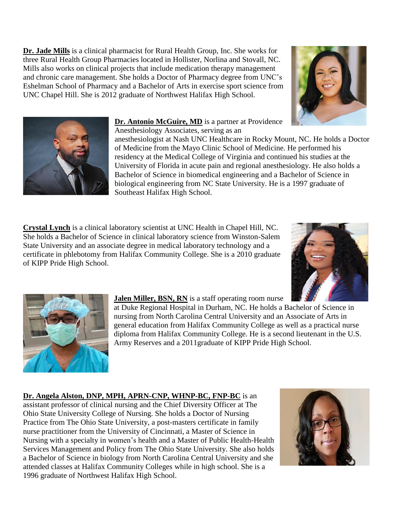**Dr. Jade Mills** is a clinical pharmacist for Rural Health Group, Inc. She works for three Rural Health Group Pharmacies located in Hollister, Norlina and Stovall, NC. Mills also works on clinical projects that include medication therapy management and chronic care management. She holds a Doctor of Pharmacy degree from UNC's Eshelman School of Pharmacy and a Bachelor of Arts in exercise sport science from UNC Chapel Hill. She is 2012 graduate of Northwest Halifax High School.





**Dr. Antonio McGuire, MD** is a partner at Providence

Anesthesiology Associates, serving as an

anesthesiologist at Nash UNC Healthcare in Rocky Mount, NC. He holds a Doctor of Medicine from the Mayo Clinic School of Medicine. He performed his residency at the Medical College of Virginia and continued his studies at the University of Florida in acute pain and regional anesthesiology. He also holds a Bachelor of Science in biomedical engineering and a Bachelor of Science in biological engineering from NC State University. He is a 1997 graduate of Southeast Halifax High School.

**Crystal Lynch** is a clinical laboratory scientist at UNC Health in Chapel Hill, NC. She holds a Bachelor of Science in clinical laboratory science from Winston-Salem State University and an associate degree in medical laboratory technology and a certificate in phlebotomy from Halifax Community College. She is a 2010 graduate of KIPP Pride High School.





**Jalen Miller, BSN, RN** is a staff operating room nurse

at Duke Regional Hospital in Durham, NC. He holds a Bachelor of Science in nursing from North Carolina Central University and an Associate of Arts in general education from Halifax Community College as well as a practical nurse diploma from Halifax Community College. He is a second lieutenant in the U.S. Army Reserves and a 2011graduate of KIPP Pride High School.

**Dr. Angela Alston, DNP, MPH, APRN-CNP, WHNP-BC, FNP-BC** is an assistant professor of clinical nursing and the Chief Diversity Officer at The Ohio State University College of Nursing. She holds a Doctor of Nursing Practice from The Ohio State University, a post-masters certificate in family nurse practitioner from the University of Cincinnati, a Master of Science in Nursing with a specialty in women's health and a Master of Public Health-Health Services Management and Policy from The Ohio State University. She also holds a Bachelor of Science in biology from North Carolina Central University and she attended classes at Halifax Community Colleges while in high school. She is a 1996 graduate of Northwest Halifax High School.